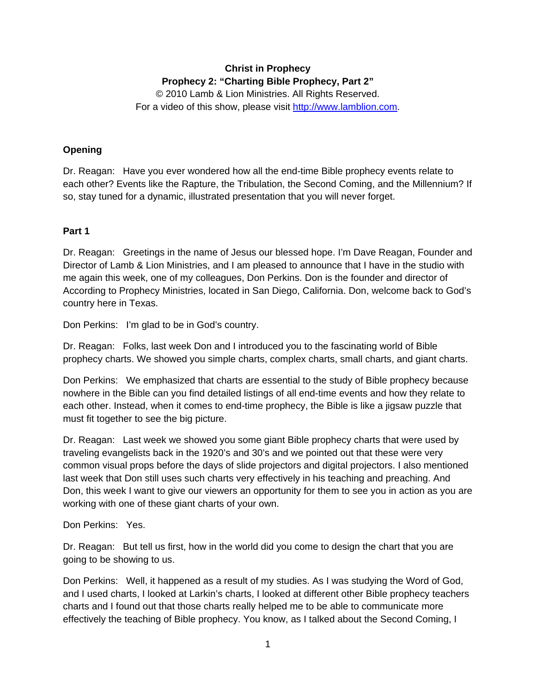# **Christ in Prophecy Prophecy 2: "Charting Bible Prophecy, Part 2"**

© 2010 Lamb & Lion Ministries. All Rights Reserved. For a video of this show, please visit [http://www.lamblion.com.](http://www.lamblion.com/)

## **Opening**

Dr. Reagan: Have you ever wondered how all the end-time Bible prophecy events relate to each other? Events like the Rapture, the Tribulation, the Second Coming, and the Millennium? If so, stay tuned for a dynamic, illustrated presentation that you will never forget.

### **Part 1**

Dr. Reagan: Greetings in the name of Jesus our blessed hope. I'm Dave Reagan, Founder and Director of Lamb & Lion Ministries, and I am pleased to announce that I have in the studio with me again this week, one of my colleagues, Don Perkins. Don is the founder and director of According to Prophecy Ministries, located in San Diego, California. Don, welcome back to God's country here in Texas.

Don Perkins: I'm glad to be in God's country.

Dr. Reagan: Folks, last week Don and I introduced you to the fascinating world of Bible prophecy charts. We showed you simple charts, complex charts, small charts, and giant charts.

Don Perkins: We emphasized that charts are essential to the study of Bible prophecy because nowhere in the Bible can you find detailed listings of all end-time events and how they relate to each other. Instead, when it comes to end-time prophecy, the Bible is like a jigsaw puzzle that must fit together to see the big picture.

Dr. Reagan: Last week we showed you some giant Bible prophecy charts that were used by traveling evangelists back in the 1920's and 30's and we pointed out that these were very common visual props before the days of slide projectors and digital projectors. I also mentioned last week that Don still uses such charts very effectively in his teaching and preaching. And Don, this week I want to give our viewers an opportunity for them to see you in action as you are working with one of these giant charts of your own.

Don Perkins: Yes.

Dr. Reagan: But tell us first, how in the world did you come to design the chart that you are going to be showing to us.

Don Perkins: Well, it happened as a result of my studies. As I was studying the Word of God, and I used charts, I looked at Larkin's charts, I looked at different other Bible prophecy teachers charts and I found out that those charts really helped me to be able to communicate more effectively the teaching of Bible prophecy. You know, as I talked about the Second Coming, I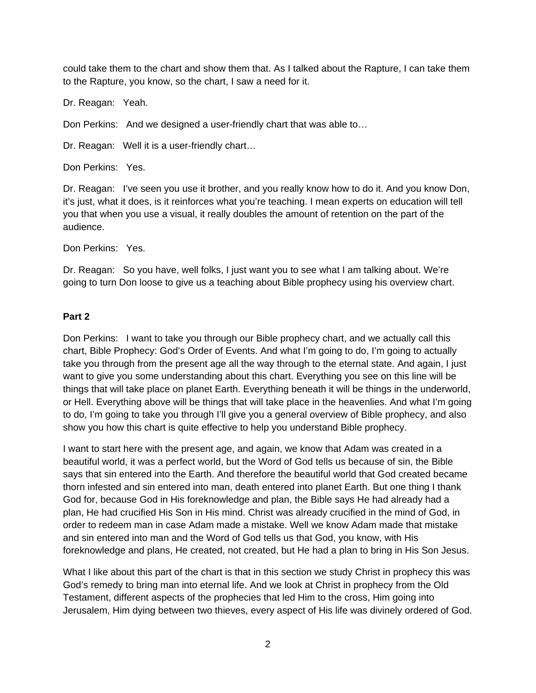could take them to the chart and show them that. As I talked about the Rapture, I can take them to the Rapture, you know, so the chart, I saw a need for it.

Dr. Reagan: Yeah.

Don Perkins: And we designed a user-friendly chart that was able to…

Dr. Reagan: Well it is a user-friendly chart...

Don Perkins: Yes.

Dr. Reagan: I've seen you use it brother, and you really know how to do it. And you know Don, it's just, what it does, is it reinforces what you're teaching. I mean experts on education will tell you that when you use a visual, it really doubles the amount of retention on the part of the audience.

Don Perkins: Yes.

Dr. Reagan: So you have, well folks, I just want you to see what I am talking about. We're going to turn Don loose to give us a teaching about Bible prophecy using his overview chart.

#### **Part 2**

Don Perkins: I want to take you through our Bible prophecy chart, and we actually call this chart, Bible Prophecy: God's Order of Events. And what I'm going to do, I'm going to actually take you through from the present age all the way through to the eternal state. And again, I just want to give you some understanding about this chart. Everything you see on this line will be things that will take place on planet Earth. Everything beneath it will be things in the underworld, or Hell. Everything above will be things that will take place in the heavenlies. And what I'm going to do, I'm going to take you through I'll give you a general overview of Bible prophecy, and also show you how this chart is quite effective to help you understand Bible prophecy.

I want to start here with the present age, and again, we know that Adam was created in a beautiful world, it was a perfect world, but the Word of God tells us because of sin, the Bible says that sin entered into the Earth. And therefore the beautiful world that God created became thorn infested and sin entered into man, death entered into planet Earth. But one thing I thank God for, because God in His foreknowledge and plan, the Bible says He had already had a plan, He had crucified His Son in His mind. Christ was already crucified in the mind of God, in order to redeem man in case Adam made a mistake. Well we know Adam made that mistake and sin entered into man and the Word of God tells us that God, you know, with His foreknowledge and plans, He created, not created, but He had a plan to bring in His Son Jesus.

What I like about this part of the chart is that in this section we study Christ in prophecy this was God's remedy to bring man into eternal life. And we look at Christ in prophecy from the Old Testament, different aspects of the prophecies that led Him to the cross, Him going into Jerusalem, Him dying between two thieves, every aspect of His life was divinely ordered of God.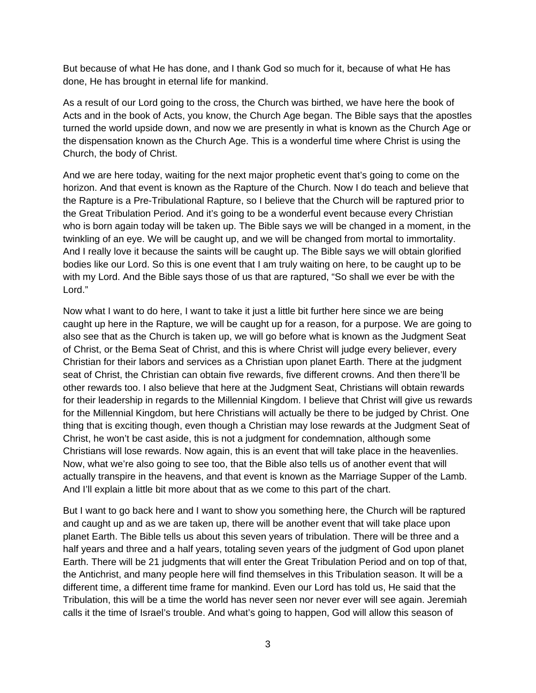But because of what He has done, and I thank God so much for it, because of what He has done, He has brought in eternal life for mankind.

As a result of our Lord going to the cross, the Church was birthed, we have here the book of Acts and in the book of Acts, you know, the Church Age began. The Bible says that the apostles turned the world upside down, and now we are presently in what is known as the Church Age or the dispensation known as the Church Age. This is a wonderful time where Christ is using the Church, the body of Christ.

And we are here today, waiting for the next major prophetic event that's going to come on the horizon. And that event is known as the Rapture of the Church. Now I do teach and believe that the Rapture is a Pre-Tribulational Rapture, so I believe that the Church will be raptured prior to the Great Tribulation Period. And it's going to be a wonderful event because every Christian who is born again today will be taken up. The Bible says we will be changed in a moment, in the twinkling of an eye. We will be caught up, and we will be changed from mortal to immortality. And I really love it because the saints will be caught up. The Bible says we will obtain glorified bodies like our Lord. So this is one event that I am truly waiting on here, to be caught up to be with my Lord. And the Bible says those of us that are raptured, "So shall we ever be with the Lord."

Now what I want to do here, I want to take it just a little bit further here since we are being caught up here in the Rapture, we will be caught up for a reason, for a purpose. We are going to also see that as the Church is taken up, we will go before what is known as the Judgment Seat of Christ, or the Bema Seat of Christ, and this is where Christ will judge every believer, every Christian for their labors and services as a Christian upon planet Earth. There at the judgment seat of Christ, the Christian can obtain five rewards, five different crowns. And then there'll be other rewards too. I also believe that here at the Judgment Seat, Christians will obtain rewards for their leadership in regards to the Millennial Kingdom. I believe that Christ will give us rewards for the Millennial Kingdom, but here Christians will actually be there to be judged by Christ. One thing that is exciting though, even though a Christian may lose rewards at the Judgment Seat of Christ, he won't be cast aside, this is not a judgment for condemnation, although some Christians will lose rewards. Now again, this is an event that will take place in the heavenlies. Now, what we're also going to see too, that the Bible also tells us of another event that will actually transpire in the heavens, and that event is known as the Marriage Supper of the Lamb. And I'll explain a little bit more about that as we come to this part of the chart.

But I want to go back here and I want to show you something here, the Church will be raptured and caught up and as we are taken up, there will be another event that will take place upon planet Earth. The Bible tells us about this seven years of tribulation. There will be three and a half years and three and a half years, totaling seven years of the judgment of God upon planet Earth. There will be 21 judgments that will enter the Great Tribulation Period and on top of that, the Antichrist, and many people here will find themselves in this Tribulation season. It will be a different time, a different time frame for mankind. Even our Lord has told us, He said that the Tribulation, this will be a time the world has never seen nor never ever will see again. Jeremiah calls it the time of Israel's trouble. And what's going to happen, God will allow this season of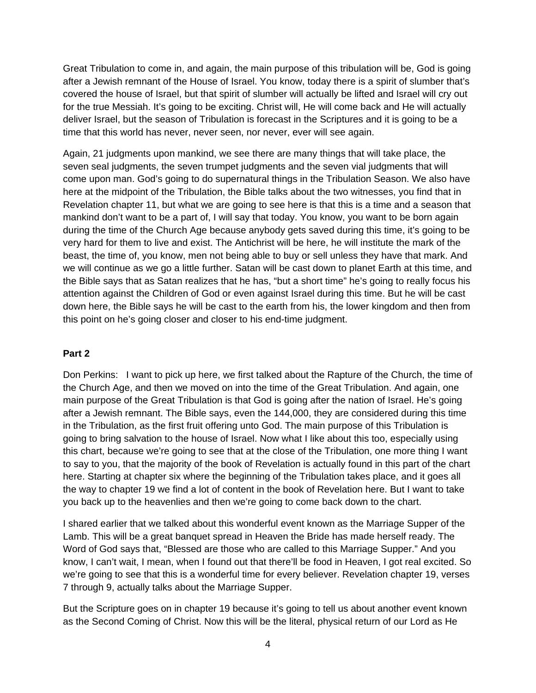Great Tribulation to come in, and again, the main purpose of this tribulation will be, God is going after a Jewish remnant of the House of Israel. You know, today there is a spirit of slumber that's covered the house of Israel, but that spirit of slumber will actually be lifted and Israel will cry out for the true Messiah. It's going to be exciting. Christ will, He will come back and He will actually deliver Israel, but the season of Tribulation is forecast in the Scriptures and it is going to be a time that this world has never, never seen, nor never, ever will see again.

Again, 21 judgments upon mankind, we see there are many things that will take place, the seven seal judgments, the seven trumpet judgments and the seven vial judgments that will come upon man. God's going to do supernatural things in the Tribulation Season. We also have here at the midpoint of the Tribulation, the Bible talks about the two witnesses, you find that in Revelation chapter 11, but what we are going to see here is that this is a time and a season that mankind don't want to be a part of, I will say that today. You know, you want to be born again during the time of the Church Age because anybody gets saved during this time, it's going to be very hard for them to live and exist. The Antichrist will be here, he will institute the mark of the beast, the time of, you know, men not being able to buy or sell unless they have that mark. And we will continue as we go a little further. Satan will be cast down to planet Earth at this time, and the Bible says that as Satan realizes that he has, "but a short time" he's going to really focus his attention against the Children of God or even against Israel during this time. But he will be cast down here, the Bible says he will be cast to the earth from his, the lower kingdom and then from this point on he's going closer and closer to his end-time judgment.

#### **Part 2**

Don Perkins: I want to pick up here, we first talked about the Rapture of the Church, the time of the Church Age, and then we moved on into the time of the Great Tribulation. And again, one main purpose of the Great Tribulation is that God is going after the nation of Israel. He's going after a Jewish remnant. The Bible says, even the 144,000, they are considered during this time in the Tribulation, as the first fruit offering unto God. The main purpose of this Tribulation is going to bring salvation to the house of Israel. Now what I like about this too, especially using this chart, because we're going to see that at the close of the Tribulation, one more thing I want to say to you, that the majority of the book of Revelation is actually found in this part of the chart here. Starting at chapter six where the beginning of the Tribulation takes place, and it goes all the way to chapter 19 we find a lot of content in the book of Revelation here. But I want to take you back up to the heavenlies and then we're going to come back down to the chart.

I shared earlier that we talked about this wonderful event known as the Marriage Supper of the Lamb. This will be a great banquet spread in Heaven the Bride has made herself ready. The Word of God says that, "Blessed are those who are called to this Marriage Supper." And you know, I can't wait, I mean, when I found out that there'll be food in Heaven, I got real excited. So we're going to see that this is a wonderful time for every believer. Revelation chapter 19, verses 7 through 9, actually talks about the Marriage Supper.

But the Scripture goes on in chapter 19 because it's going to tell us about another event known as the Second Coming of Christ. Now this will be the literal, physical return of our Lord as He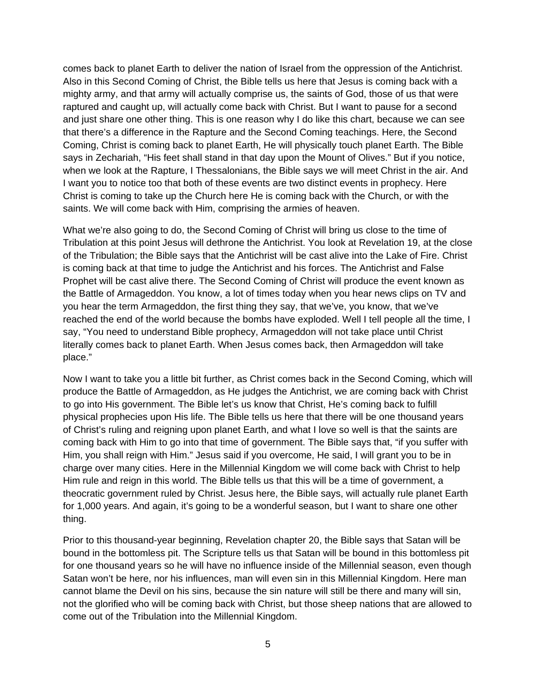comes back to planet Earth to deliver the nation of Israel from the oppression of the Antichrist. Also in this Second Coming of Christ, the Bible tells us here that Jesus is coming back with a mighty army, and that army will actually comprise us, the saints of God, those of us that were raptured and caught up, will actually come back with Christ. But I want to pause for a second and just share one other thing. This is one reason why I do like this chart, because we can see that there's a difference in the Rapture and the Second Coming teachings. Here, the Second Coming, Christ is coming back to planet Earth, He will physically touch planet Earth. The Bible says in Zechariah, "His feet shall stand in that day upon the Mount of Olives." But if you notice, when we look at the Rapture, I Thessalonians, the Bible says we will meet Christ in the air. And I want you to notice too that both of these events are two distinct events in prophecy. Here Christ is coming to take up the Church here He is coming back with the Church, or with the saints. We will come back with Him, comprising the armies of heaven.

What we're also going to do, the Second Coming of Christ will bring us close to the time of Tribulation at this point Jesus will dethrone the Antichrist. You look at Revelation 19, at the close of the Tribulation; the Bible says that the Antichrist will be cast alive into the Lake of Fire. Christ is coming back at that time to judge the Antichrist and his forces. The Antichrist and False Prophet will be cast alive there. The Second Coming of Christ will produce the event known as the Battle of Armageddon. You know, a lot of times today when you hear news clips on TV and you hear the term Armageddon, the first thing they say, that we've, you know, that we've reached the end of the world because the bombs have exploded. Well I tell people all the time, I say, "You need to understand Bible prophecy, Armageddon will not take place until Christ literally comes back to planet Earth. When Jesus comes back, then Armageddon will take place."

Now I want to take you a little bit further, as Christ comes back in the Second Coming, which will produce the Battle of Armageddon, as He judges the Antichrist, we are coming back with Christ to go into His government. The Bible let's us know that Christ, He's coming back to fulfill physical prophecies upon His life. The Bible tells us here that there will be one thousand years of Christ's ruling and reigning upon planet Earth, and what I love so well is that the saints are coming back with Him to go into that time of government. The Bible says that, "if you suffer with Him, you shall reign with Him." Jesus said if you overcome, He said, I will grant you to be in charge over many cities. Here in the Millennial Kingdom we will come back with Christ to help Him rule and reign in this world. The Bible tells us that this will be a time of government, a theocratic government ruled by Christ. Jesus here, the Bible says, will actually rule planet Earth for 1,000 years. And again, it's going to be a wonderful season, but I want to share one other thing.

Prior to this thousand-year beginning, Revelation chapter 20, the Bible says that Satan will be bound in the bottomless pit. The Scripture tells us that Satan will be bound in this bottomless pit for one thousand years so he will have no influence inside of the Millennial season, even though Satan won't be here, nor his influences, man will even sin in this Millennial Kingdom. Here man cannot blame the Devil on his sins, because the sin nature will still be there and many will sin, not the glorified who will be coming back with Christ, but those sheep nations that are allowed to come out of the Tribulation into the Millennial Kingdom.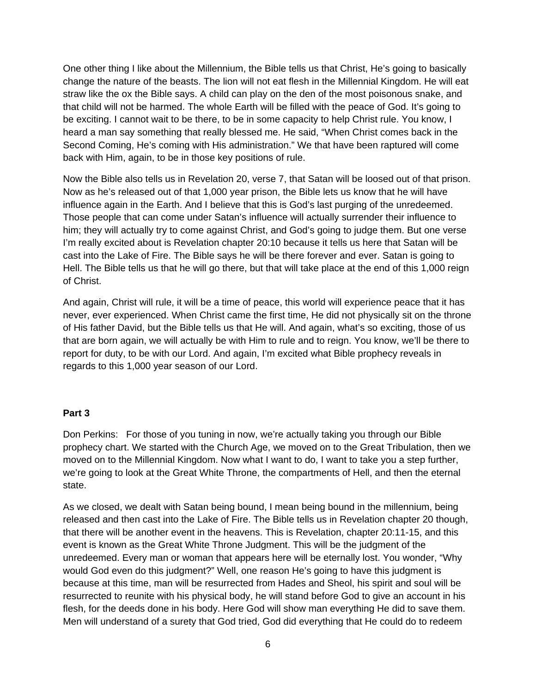One other thing I like about the Millennium, the Bible tells us that Christ, He's going to basically change the nature of the beasts. The lion will not eat flesh in the Millennial Kingdom. He will eat straw like the ox the Bible says. A child can play on the den of the most poisonous snake, and that child will not be harmed. The whole Earth will be filled with the peace of God. It's going to be exciting. I cannot wait to be there, to be in some capacity to help Christ rule. You know, I heard a man say something that really blessed me. He said, "When Christ comes back in the Second Coming, He's coming with His administration." We that have been raptured will come back with Him, again, to be in those key positions of rule.

Now the Bible also tells us in Revelation 20, verse 7, that Satan will be loosed out of that prison. Now as he's released out of that 1,000 year prison, the Bible lets us know that he will have influence again in the Earth. And I believe that this is God's last purging of the unredeemed. Those people that can come under Satan's influence will actually surrender their influence to him; they will actually try to come against Christ, and God's going to judge them. But one verse I'm really excited about is Revelation chapter 20:10 because it tells us here that Satan will be cast into the Lake of Fire. The Bible says he will be there forever and ever. Satan is going to Hell. The Bible tells us that he will go there, but that will take place at the end of this 1,000 reign of Christ.

And again, Christ will rule, it will be a time of peace, this world will experience peace that it has never, ever experienced. When Christ came the first time, He did not physically sit on the throne of His father David, but the Bible tells us that He will. And again, what's so exciting, those of us that are born again, we will actually be with Him to rule and to reign. You know, we'll be there to report for duty, to be with our Lord. And again, I'm excited what Bible prophecy reveals in regards to this 1,000 year season of our Lord.

#### **Part 3**

Don Perkins: For those of you tuning in now, we're actually taking you through our Bible prophecy chart. We started with the Church Age, we moved on to the Great Tribulation, then we moved on to the Millennial Kingdom. Now what I want to do, I want to take you a step further, we're going to look at the Great White Throne, the compartments of Hell, and then the eternal state.

As we closed, we dealt with Satan being bound, I mean being bound in the millennium, being released and then cast into the Lake of Fire. The Bible tells us in Revelation chapter 20 though, that there will be another event in the heavens. This is Revelation, chapter 20:11-15, and this event is known as the Great White Throne Judgment. This will be the judgment of the unredeemed. Every man or woman that appears here will be eternally lost. You wonder, "Why would God even do this judgment?" Well, one reason He's going to have this judgment is because at this time, man will be resurrected from Hades and Sheol, his spirit and soul will be resurrected to reunite with his physical body, he will stand before God to give an account in his flesh, for the deeds done in his body. Here God will show man everything He did to save them. Men will understand of a surety that God tried, God did everything that He could do to redeem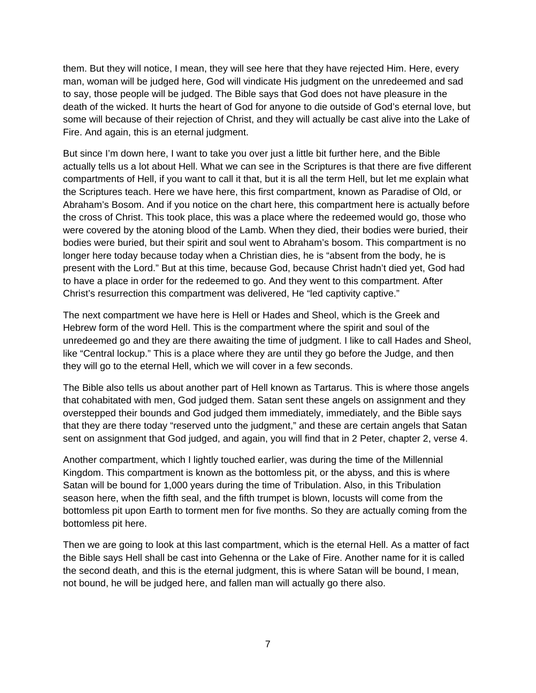them. But they will notice, I mean, they will see here that they have rejected Him. Here, every man, woman will be judged here, God will vindicate His judgment on the unredeemed and sad to say, those people will be judged. The Bible says that God does not have pleasure in the death of the wicked. It hurts the heart of God for anyone to die outside of God's eternal love, but some will because of their rejection of Christ, and they will actually be cast alive into the Lake of Fire. And again, this is an eternal judgment.

But since I'm down here, I want to take you over just a little bit further here, and the Bible actually tells us a lot about Hell. What we can see in the Scriptures is that there are five different compartments of Hell, if you want to call it that, but it is all the term Hell, but let me explain what the Scriptures teach. Here we have here, this first compartment, known as Paradise of Old, or Abraham's Bosom. And if you notice on the chart here, this compartment here is actually before the cross of Christ. This took place, this was a place where the redeemed would go, those who were covered by the atoning blood of the Lamb. When they died, their bodies were buried, their bodies were buried, but their spirit and soul went to Abraham's bosom. This compartment is no longer here today because today when a Christian dies, he is "absent from the body, he is present with the Lord." But at this time, because God, because Christ hadn't died yet, God had to have a place in order for the redeemed to go. And they went to this compartment. After Christ's resurrection this compartment was delivered, He "led captivity captive."

The next compartment we have here is Hell or Hades and Sheol, which is the Greek and Hebrew form of the word Hell. This is the compartment where the spirit and soul of the unredeemed go and they are there awaiting the time of judgment. I like to call Hades and Sheol, like "Central lockup." This is a place where they are until they go before the Judge, and then they will go to the eternal Hell, which we will cover in a few seconds.

The Bible also tells us about another part of Hell known as Tartarus. This is where those angels that cohabitated with men, God judged them. Satan sent these angels on assignment and they overstepped their bounds and God judged them immediately, immediately, and the Bible says that they are there today "reserved unto the judgment," and these are certain angels that Satan sent on assignment that God judged, and again, you will find that in 2 Peter, chapter 2, verse 4.

Another compartment, which I lightly touched earlier, was during the time of the Millennial Kingdom. This compartment is known as the bottomless pit, or the abyss, and this is where Satan will be bound for 1,000 years during the time of Tribulation. Also, in this Tribulation season here, when the fifth seal, and the fifth trumpet is blown, locusts will come from the bottomless pit upon Earth to torment men for five months. So they are actually coming from the bottomless pit here.

Then we are going to look at this last compartment, which is the eternal Hell. As a matter of fact the Bible says Hell shall be cast into Gehenna or the Lake of Fire. Another name for it is called the second death, and this is the eternal judgment, this is where Satan will be bound, I mean, not bound, he will be judged here, and fallen man will actually go there also.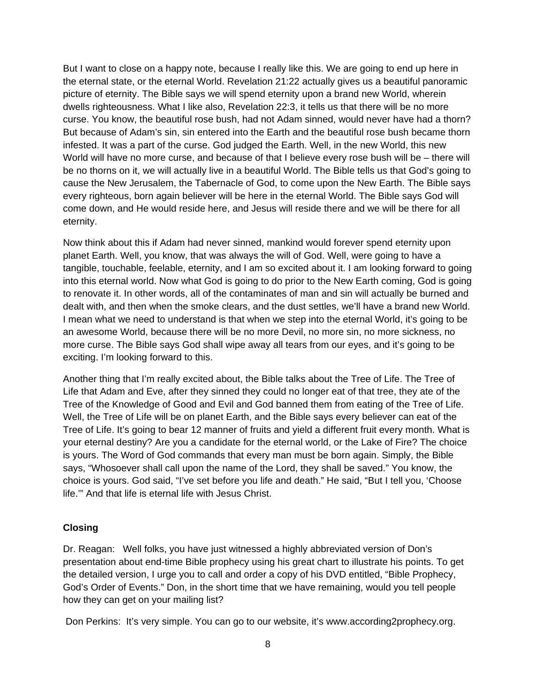But I want to close on a happy note, because I really like this. We are going to end up here in the eternal state, or the eternal World. Revelation 21:22 actually gives us a beautiful panoramic picture of eternity. The Bible says we will spend eternity upon a brand new World, wherein dwells righteousness. What I like also, Revelation 22:3, it tells us that there will be no more curse. You know, the beautiful rose bush, had not Adam sinned, would never have had a thorn? But because of Adam's sin, sin entered into the Earth and the beautiful rose bush became thorn infested. It was a part of the curse. God judged the Earth. Well, in the new World, this new World will have no more curse, and because of that I believe every rose bush will be – there will be no thorns on it, we will actually live in a beautiful World. The Bible tells us that God's going to cause the New Jerusalem, the Tabernacle of God, to come upon the New Earth. The Bible says every righteous, born again believer will be here in the eternal World. The Bible says God will come down, and He would reside here, and Jesus will reside there and we will be there for all eternity.

Now think about this if Adam had never sinned, mankind would forever spend eternity upon planet Earth. Well, you know, that was always the will of God. Well, were going to have a tangible, touchable, feelable, eternity, and I am so excited about it. I am looking forward to going into this eternal world. Now what God is going to do prior to the New Earth coming, God is going to renovate it. In other words, all of the contaminates of man and sin will actually be burned and dealt with, and then when the smoke clears, and the dust settles, we'll have a brand new World. I mean what we need to understand is that when we step into the eternal World, it's going to be an awesome World, because there will be no more Devil, no more sin, no more sickness, no more curse. The Bible says God shall wipe away all tears from our eyes, and it's going to be exciting. I'm looking forward to this.

Another thing that I'm really excited about, the Bible talks about the Tree of Life. The Tree of Life that Adam and Eve, after they sinned they could no longer eat of that tree, they ate of the Tree of the Knowledge of Good and Evil and God banned them from eating of the Tree of Life. Well, the Tree of Life will be on planet Earth, and the Bible says every believer can eat of the Tree of Life. It's going to bear 12 manner of fruits and yield a different fruit every month. What is your eternal destiny? Are you a candidate for the eternal world, or the Lake of Fire? The choice is yours. The Word of God commands that every man must be born again. Simply, the Bible says, "Whosoever shall call upon the name of the Lord, they shall be saved." You know, the choice is yours. God said, "I've set before you life and death." He said, "But I tell you, 'Choose life.'" And that life is eternal life with Jesus Christ.

# **Closing**

Dr. Reagan: Well folks, you have just witnessed a highly abbreviated version of Don's presentation about end-time Bible prophecy using his great chart to illustrate his points. To get the detailed version, I urge you to call and order a copy of his DVD entitled, "Bible Prophecy, God's Order of Events." Don, in the short time that we have remaining, would you tell people how they can get on your mailing list?

Don Perkins: It's very simple. You can go to our website, it's www.according2prophecy.org.